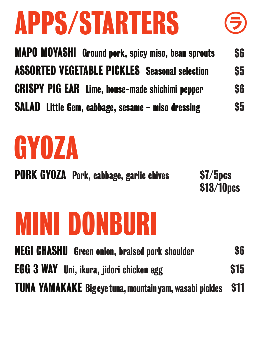# APPS/STARTERS



# GYOZA

# MINI DONBURI

MAPO MOYASHI Ground pork, spicy miso, bean sprouts ASSORTED VEGETABLE PICKLES Seasonal selection CRISPY PIG EAR Lime, house-made shichimi pepper SALAD Little Gem, cabbage, sesame - miso dressing **\$6 \$5 \$6 \$5** 

NEGI CHASHU Green onion, braised pork shoulder EGG 3 WAY Uni, ikura, jidori chicken egg TUNA YAMAKAKE Bigeyetuna,mountainyam, wasabi pickles **\$6** \$15 \$11

PORK GYOZA Pork, cabbage, garlic chives



\$13/10pcs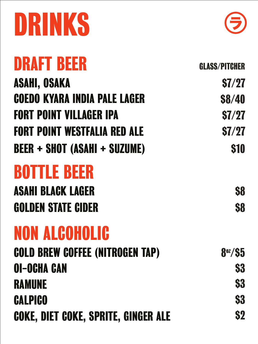# DRINKS



## ASAHI, OSAKA COEDO KYARA INDIA PALE LAGER FORT POINT VILLAGER IPA FORT POINT WESTFALIA RED ALE BEER + SHOT (ASAHI + SUZUME)

#### COLD BREW COFFEE (NITROGEN TAP) OI-OCHA CAN RAMUNE **CALPICO**

GLASS/PITCHER

### ASAHI BLACK LAGER \$8 GOLDEN STATE CIDER S8

\$7/27 \$8/40 \$7/27 \$7/27 \$10

DRAFT BEER

# NON ALCOHOLIC

COKE, DIET COKE, SPRITE, GINGER ALE

8oz/\$5 **\$3 \$3 \$3** \$2

BOTTLE BEER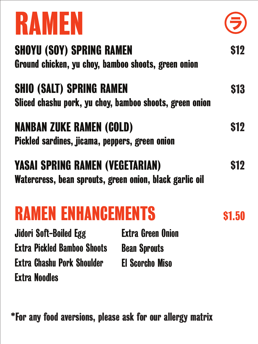

Extra Green Onion Bean Sprouts El Scorcho Miso

Extra Noodles Extra Pickled Bamboo Shoots Jidori Soft-Boiled Egg Extra Chashu Pork Shoulder

## RAMEN ENHANCEMENTS

#### \*For any food aversions, please ask for our allergy matrix

#### Sliced chashu pork, yu choy, bamboo shoots, green onion SHIO (SALT) SPRING RAMEN \$13

#### SHOYU (SOY) SPRING RAMEN Ground chicken, yu choy, bamboo shoots, green onion



#### NANBAN ZUKE RAMEN (COLD) Pickled sardines, jicama, peppers, green onion

\$12

### YASAI SPRING RAMEN (VEGETARIAN)

Watercress, bean sprouts, green onion, black garlic oil

\$12